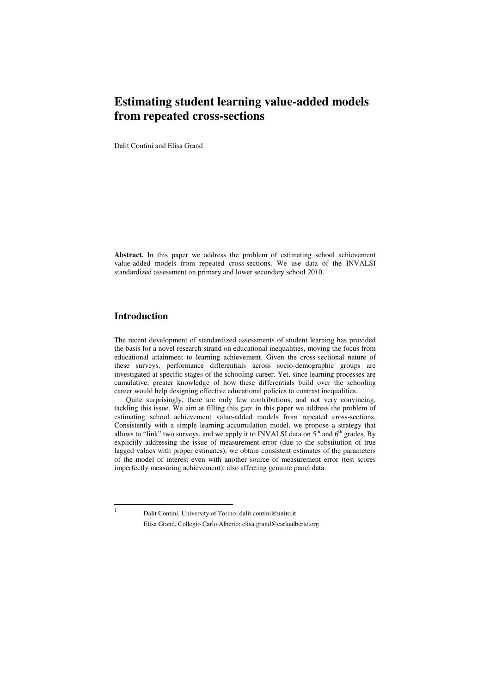# **Estimating student learning value-added models from repeated cross-sections**

Dalit Contini and Elisa Grand

**Abstract.** In this paper we address the problem of estimating school achievement value-added models from repeated cross-sections. We use data of the INVALSI standardized assessment on primary and lower secondary school 2010.

# **Introduction**

The recent development of standardized assessments of student learning has provided the basis for a novel research strand on educational inequalities, moving the focus from educational attainment to learning achievement. Given the cross-sectional nature of these surveys, performance differentials across socio-demographic groups are investigated at specific stages of the schooling career. Yet, since learning processes are cumulative, greater knowledge of how these differentials build over the schooling career would help designing effective educational policies to contrast inequalities.

Quite surprisingly, there are only few contributions, and not very convincing, tackling this issue. We aim at filling this gap: in this paper we address the problem of estimating school achievement value-added models from repeated cross-sections. Consistently with a simple learning accumulation model, we propose a strategy that allows to "link" two surveys, and we apply it to INVALSI data on  $5<sup>th</sup>$  and  $6<sup>th</sup>$  grades. By explicitly addressing the issue of measurement error (due to the substitution of true lagged values with proper estimates), we obtain consistent estimates of the parameters of the model of interest even with another source of measurement error (test scores imperfectly measuring achievement), also affecting genuine panel data.

 1

Dalit Contini, University of Torino; dalit.contini@unito.it Elisa Grand, Collegio Carlo Alberto; elisa.grand@carloalberto.org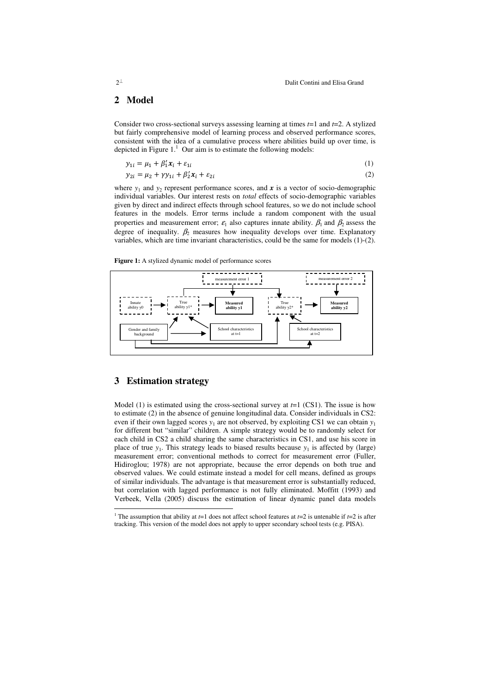# **2 Model**

Consider two cross-sectional surveys assessing learning at times *t*=1 and *t*=2. A stylized but fairly comprehensive model of learning process and observed performance scores, consistent with the idea of a cumulative process where abilities build up over time, is depicted in Figure  $1<sup>1</sup>$  Our aim is to estimate the following models:

$$
y_{1i} = \mu_1 + \beta'_1 x_i + \varepsilon_{1i} \tag{1}
$$

$$
y_{2i} = \mu_2 + \gamma y_{1i} + \beta'_2 x_i + \varepsilon_{2i}
$$
 (2)

where  $y_1$  and  $y_2$  represent performance scores, and  $x$  is a vector of socio-demographic individual variables. Our interest rests on *total* effects of socio-demographic variables given by direct and indirect effects through school features, so we do not include school features in the models. Error terms include a random component with the usual properties and measurement error;  $\varepsilon_1$  also captures innate ability.  $\beta_1$  and  $\beta_2$  assess the degree of inequality.  $\beta_2$  measures how inequality develops over time. Explanatory variables, which are time invariant characteristics, could be the same for models (1)-(2).

**Figure 1:** A stylized dynamic model of performance scores



#### **3 Estimation strategy**

Model (1) is estimated using the cross-sectional survey at  $t=1$  (CS1). The issue is how to estimate (2) in the absence of genuine longitudinal data. Consider individuals in CS2: even if their own lagged scores  $y_1$  are not observed, by exploiting CS1 we can obtain  $y_1$ for different but "similar" children. A simple strategy would be to randomly select for each child in CS2 a child sharing the same characteristics in CS1, and use his score in place of true  $y_1$ . This strategy leads to biased results because  $y_1$  is affected by (large) measurement error; conventional methods to correct for measurement error (Fuller, Hidiroglou; 1978) are not appropriate, because the error depends on both true and observed values. We could estimate instead a model for cell means, defined as groups of similar individuals. The advantage is that measurement error is substantially reduced, but correlation with lagged performance is not fully eliminated. Moffitt (1993) and Verbeek, Vella (2005) discuss the estimation of linear dynamic panel data models

 1 The assumption that ability at *t*=1 does not affect school features at *t*=2 is untenable if *t*=2 is after tracking. This version of the model does not apply to upper secondary school tests (e.g. PISA).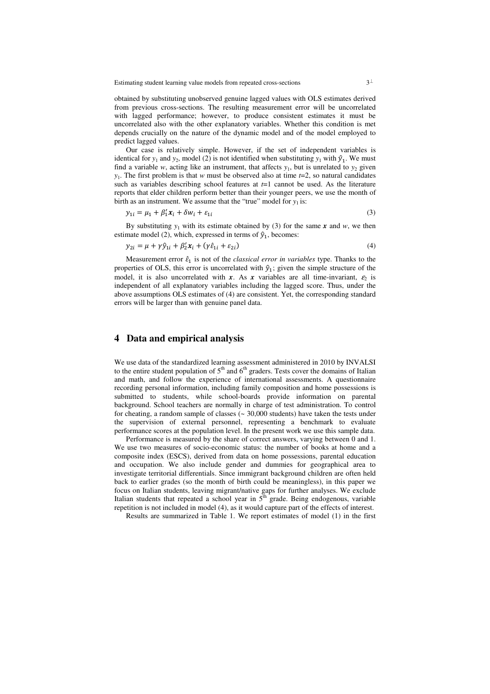Estimating student learning value models from repeated cross-sections  $3<sup>\perp</sup>$ 

obtained by substituting unobserved genuine lagged values with OLS estimates derived from previous cross-sections. The resulting measurement error will be uncorrelated with lagged performance; however, to produce consistent estimates it must be uncorrelated also with the other explanatory variables. Whether this condition is met depends crucially on the nature of the dynamic model and of the model employed to predict lagged values.

Our case is relatively simple. However, if the set of independent variables is identical for  $y_1$  and  $y_2$ , model (2) is not identified when substituting  $y_1$  with  $\hat{y}_1$ . We must find a variable  $w$ , acting like an instrument, that affects  $y_1$ , but is unrelated to  $y_2$  given *y*1 . The first problem is that *w* must be observed also at time *t*=2, so natural candidates such as variables describing school features at  $t=1$  cannot be used. As the literature reports that elder children perform better than their younger peers, we use the month of birth as an instrument. We assume that the "true" model for  $y_1$  is:

$$
y_{1i} = \mu_1 + \beta'_1 x_i + \delta w_i + \varepsilon_{1i}
$$
\n<sup>(3)</sup>

By substituting  $y_1$  with its estimate obtained by (3) for the same  $x$  and  $w$ , we then estimate model (2), which, expressed in terms of  $\hat{y}_1$ , becomes:

$$
y_{2i} = \mu + \gamma \hat{y}_{1i} + \beta'_2 x_i + (\gamma \hat{\varepsilon}_{1i} + \varepsilon_{2i})
$$
\n<sup>(4)</sup>

Measurement error  $\hat{\epsilon}_1$  is not of the *classical error in variables* type. Thanks to the properties of OLS, this error is uncorrelated with  $\hat{y}_1$ ; given the simple structure of the model, it is also uncorrelated with *x*. As *x* variables are all time-invariant,  $\varepsilon_2$  is independent of all explanatory variables including the lagged score. Thus, under the above assumptions OLS estimates of (4) are consistent. Yet, the corresponding standard errors will be larger than with genuine panel data.

## **4 Data and empirical analysis**

We use data of the standardized learning assessment administered in 2010 by INVALSI to the entire student population of  $5<sup>th</sup>$  and  $6<sup>th</sup>$  graders. Tests cover the domains of Italian and math, and follow the experience of international assessments. A questionnaire recording personal information, including family composition and home possessions is submitted to students, while school-boards provide information on parental background. School teachers are normally in charge of test administration. To control for cheating, a random sample of classes  $($   $\sim$  30,000 students) have taken the tests under the supervision of external personnel, representing a benchmark to evaluate performance scores at the population level. In the present work we use this sample data.

Performance is measured by the share of correct answers, varying between 0 and 1. We use two measures of socio-economic status: the number of books at home and a composite index (ESCS), derived from data on home possessions, parental education and occupation. We also include gender and dummies for geographical area to investigate territorial differentials. Since immigrant background children are often held back to earlier grades (so the month of birth could be meaningless), in this paper we focus on Italian students, leaving migrant/native gaps for further analyses. We exclude Italian students that repeated a school year in  $5<sup>th</sup>$  grade. Being endogenous, variable repetition is not included in model (4), as it would capture part of the effects of interest.

Results are summarized in Table 1. We report estimates of model (1) in the first